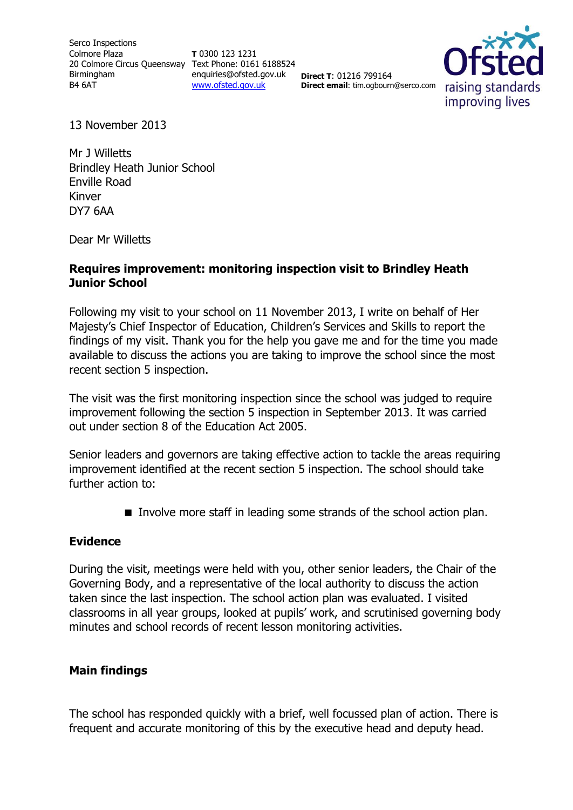**T** 0300 123 1231 enquiries@ofsted.gov.uk [www.ofsted.gov.uk](http://www.ofsted.gov.uk/)

**Direct T**: 01216 799164 **Direct email**: tim.ogbourn@serco.com



13 November 2013

Mr J Willetts Brindley Heath Junior School Enville Road Kinver DY7 6AA

Dear Mr Willetts

## **Requires improvement: monitoring inspection visit to Brindley Heath Junior School**

Following my visit to your school on 11 November 2013, I write on behalf of Her Majesty's Chief Inspector of Education, Children's Services and Skills to report the findings of my visit. Thank you for the help you gave me and for the time you made available to discuss the actions you are taking to improve the school since the most recent section 5 inspection.

The visit was the first monitoring inspection since the school was judged to require improvement following the section 5 inspection in September 2013. It was carried out under section 8 of the Education Act 2005.

Senior leaders and governors are taking effective action to tackle the areas requiring improvement identified at the recent section 5 inspection. The school should take further action to:

Involve more staff in leading some strands of the school action plan.

## **Evidence**

During the visit, meetings were held with you, other senior leaders, the Chair of the Governing Body, and a representative of the local authority to discuss the action taken since the last inspection. The school action plan was evaluated. I visited classrooms in all year groups, looked at pupils' work, and scrutinised governing body minutes and school records of recent lesson monitoring activities.

## **Main findings**

The school has responded quickly with a brief, well focussed plan of action. There is frequent and accurate monitoring of this by the executive head and deputy head.